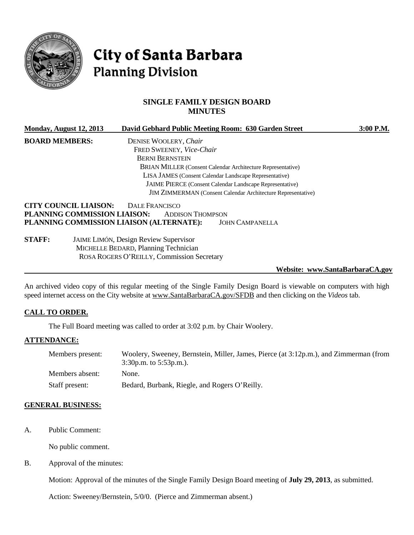

# City of Santa Barbara **Planning Division**

# **SINGLE FAMILY DESIGN BOARD MINUTES**

| Monday, August 12, 2013      | David Gebhard Public Meeting Room: 630 Garden Street                | $3:00$ P.M. |
|------------------------------|---------------------------------------------------------------------|-------------|
| <b>BOARD MEMBERS:</b>        | DENISE WOOLERY, Chair                                               |             |
|                              | FRED SWEENEY, Vice-Chair                                            |             |
|                              | <b>BERNI BERNSTEIN</b>                                              |             |
|                              | BRIAN MILLER (Consent Calendar Architecture Representative)         |             |
|                              | LISA JAMES (Consent Calendar Landscape Representative)              |             |
|                              | <b>JAIME PIERCE</b> (Consent Calendar Landscape Representative)     |             |
|                              | <b>JIM ZIMMERMAN</b> (Consent Calendar Architecture Representative) |             |
| <b>CITY COUNCIL LIAISON:</b> | DALE FRANCISCO                                                      |             |
| PLANNING COMMISSION LIAISON: | <b>ADDISON THOMPSON</b>                                             |             |
|                              | PLANNING COMMISSION LIAISON (ALTERNATE):<br><b>JOHN CAMPANELLA</b>  |             |
| <b>STAFF:</b>                | <b>JAIME LIMÓN, Design Review Supervisor</b>                        |             |
|                              | MICHELLE BEDARD, Planning Technician                                |             |
|                              | ROSA ROGERS O'REILLY, Commission Secretary                          |             |

#### **Website: www.SantaBarbaraCA.gov**

An archived video copy of this regular meeting of the Single Family Design Board is viewable on computers with high speed internet access on the City website at [www.SantaBarbaraCA.gov/SFDB](http://www.santabarbaraca.gov/SFDB) and then clicking on the *Videos* tab.

#### **CALL TO ORDER.**

The Full Board meeting was called to order at 3:02 p.m. by Chair Woolery.

#### **ATTENDANCE:**

| Members present: | Woolery, Sweeney, Bernstein, Miller, James, Pierce (at 3:12p.m.), and Zimmerman (from<br>$3:30p.m.$ to $5:53p.m.$ ). |
|------------------|----------------------------------------------------------------------------------------------------------------------|
| Members absent:  | None.                                                                                                                |
| Staff present:   | Bedard, Burbank, Riegle, and Rogers O'Reilly.                                                                        |

#### **GENERAL BUSINESS:**

A. Public Comment:

No public comment.

B. Approval of the minutes:

Motion: Approval of the minutes of the Single Family Design Board meeting of **July 29, 2013**, as submitted.

Action: Sweeney/Bernstein, 5/0/0. (Pierce and Zimmerman absent.)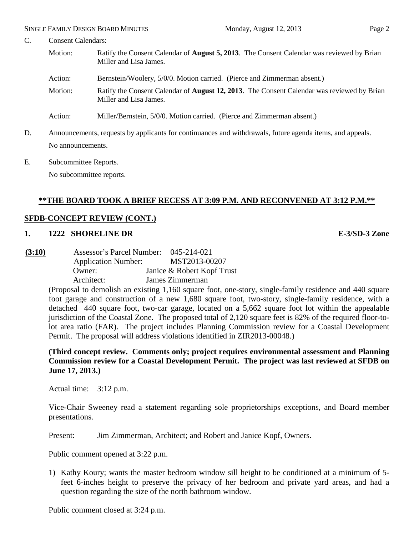- C. Consent Calendars:
	- Motion: Ratify the Consent Calendar of **August 5, 2013**. The Consent Calendar was reviewed by Brian Miller and Lisa James.
	- Action: Bernstein/Woolery, 5/0/0. Motion carried. (Pierce and Zimmerman absent.)
	- Motion: Ratify the Consent Calendar of **August 12, 2013**. The Consent Calendar was reviewed by Brian Miller and Lisa James.
	- Action: Miller/Bernstein, 5/0/0. Motion carried. (Pierce and Zimmerman absent.)
- D. Announcements, requests by applicants for continuances and withdrawals, future agenda items, and appeals. No announcements.
- E. Subcommittee Reports.

No subcommittee reports.

# **\*\*THE BOARD TOOK A BRIEF RECESS AT 3:09 P.M. AND RECONVENED AT 3:12 P.M.\*\***

## **SFDB-CONCEPT REVIEW (CONT.)**

## **1. 1222 SHORELINE DR E-3/SD-3 Zone**

**(3:10)** Assessor's Parcel Number: 045-214-021 Application Number: MST2013-00207 Owner: Janice & Robert Kopf Trust Architect: James Zimmerman

> (Proposal to demolish an existing 1,160 square foot, one-story, single-family residence and 440 square foot garage and construction of a new 1,680 square foot, two-story, single-family residence, with a detached 440 square foot, two-car garage, located on a 5,662 square foot lot within the appealable jurisdiction of the Coastal Zone. The proposed total of 2,120 square feet is 82% of the required floor-tolot area ratio (FAR). The project includes Planning Commission review for a Coastal Development Permit. The proposal will address violations identified in ZIR2013-00048.)

> **(Third concept review. Comments only; project requires environmental assessment and Planning Commission review for a Coastal Development Permit. The project was last reviewed at SFDB on June 17, 2013.)**

Actual time: 3:12 p.m.

Vice-Chair Sweeney read a statement regarding sole proprietorships exceptions, and Board member presentations.

Present: Jim Zimmerman, Architect; and Robert and Janice Kopf, Owners.

Public comment opened at 3:22 p.m.

1) Kathy Koury; wants the master bedroom window sill height to be conditioned at a minimum of 5 feet 6-inches height to preserve the privacy of her bedroom and private yard areas, and had a question regarding the size of the north bathroom window.

Public comment closed at 3:24 p.m.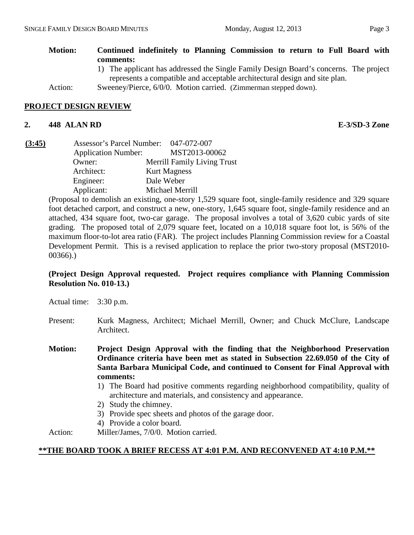| <b>Motion:</b> | Continued indefinitely to Planning Commission to return to Full Board with            |
|----------------|---------------------------------------------------------------------------------------|
|                | comments:                                                                             |
|                | 1) The applicant has addressed the Single Family Design Board's concerns. The project |
|                | represents a compatible and acceptable architectural design and site plan.            |
| Action:        | Sweeney/Pierce, 6/0/0. Motion carried. (Zimmerman stepped down).                      |

# **PROJECT DESIGN REVIEW**

#### **2. 448 ALAN RD E-3/SD-3 Zone**

| (3:45) | Assessor's Parcel Number: 047-072-007 |                                    |
|--------|---------------------------------------|------------------------------------|
|        | <b>Application Number:</b>            | MST2013-00062                      |
|        | Owner:                                | <b>Merrill Family Living Trust</b> |
|        | Architect:                            | <b>Kurt Magness</b>                |
|        | Engineer:                             | Dale Weber                         |
|        | Applicant:                            | Michael Merrill                    |

(Proposal to demolish an existing, one-story 1,529 square foot, single-family residence and 329 square foot detached carport, and construct a new, one-story, 1,645 square foot, single-family residence and an attached, 434 square foot, two-car garage. The proposal involves a total of 3,620 cubic yards of site grading. The proposed total of 2,079 square feet, located on a 10,018 square foot lot, is 56% of the maximum floor-to-lot area ratio (FAR). The project includes Planning Commission review for a Coastal Development Permit. This is a revised application to replace the prior two-story proposal (MST2010- 00366).)

## **(Project Design Approval requested. Project requires compliance with Planning Commission Resolution No. 010-13.)**

- Actual time: 3:30 p.m.
- Present: Kurk Magness, Architect; Michael Merrill, Owner; and Chuck McClure, Landscape Architect.
- **Motion: Project Design Approval with the finding that the Neighborhood Preservation Ordinance criteria have been met as stated in Subsection 22.69.050 of the City of Santa Barbara Municipal Code, and continued to Consent for Final Approval with comments:**
	- 1) The Board had positive comments regarding neighborhood compatibility, quality of architecture and materials, and consistency and appearance.
	- 2) Study the chimney.
	- 3) Provide spec sheets and photos of the garage door.
	- 4) Provide a color board.
- Action: Miller/James, 7/0/0. Motion carried.

#### **\*\*THE BOARD TOOK A BRIEF RECESS AT 4:01 P.M. AND RECONVENED AT 4:10 P.M.\*\***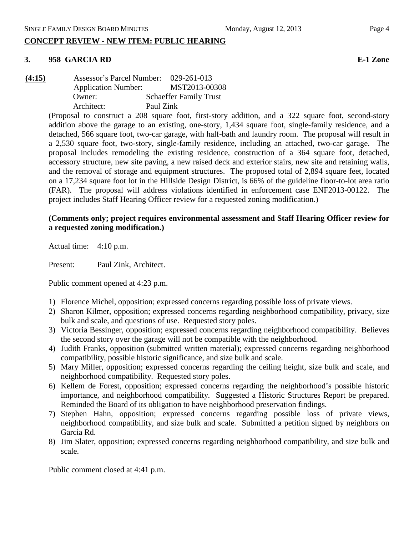# **CONCEPT REVIEW - NEW ITEM: PUBLIC HEARING**

# **3. 958 GARCIA RD E-1 Zone**

**(4:15)** Assessor's Parcel Number: 029-261-013 Application Number: MST2013-00308 Owner: Schaeffer Family Trust Architect: Paul Zink

(Proposal to construct a 208 square foot, first-story addition, and a 322 square foot, second-story addition above the garage to an existing, one-story, 1,434 square foot, single-family residence, and a detached, 566 square foot, two-car garage, with half-bath and laundry room. The proposal will result in a 2,530 square foot, two-story, single-family residence, including an attached, two-car garage. The proposal includes remodeling the existing residence, construction of a 364 square foot, detached, accessory structure, new site paving, a new raised deck and exterior stairs, new site and retaining walls, and the removal of storage and equipment structures. The proposed total of 2,894 square feet, located on a 17,234 square foot lot in the Hillside Design District, is 66% of the guideline floor-to-lot area ratio (FAR). The proposal will address violations identified in enforcement case ENF2013-00122. The project includes Staff Hearing Officer review for a requested zoning modification.)

# **(Comments only; project requires environmental assessment and Staff Hearing Officer review for a requested zoning modification.)**

Actual time: 4:10 p.m.

Present: Paul Zink, Architect.

Public comment opened at 4:23 p.m.

- 1) Florence Michel, opposition; expressed concerns regarding possible loss of private views.
- 2) Sharon Kilmer, opposition; expressed concerns regarding neighborhood compatibility, privacy, size bulk and scale, and questions of use. Requested story poles.
- 3) Victoria Bessinger, opposition; expressed concerns regarding neighborhood compatibility. Believes the second story over the garage will not be compatible with the neighborhood.
- 4) Judith Franks, opposition (submitted written material); expressed concerns regarding neighborhood compatibility, possible historic significance, and size bulk and scale.
- 5) Mary Miller, opposition; expressed concerns regarding the ceiling height, size bulk and scale, and neighborhood compatibility. Requested story poles.
- 6) Kellem de Forest, opposition; expressed concerns regarding the neighborhood's possible historic importance, and neighborhood compatibility. Suggested a Historic Structures Report be prepared. Reminded the Board of its obligation to have neighborhood preservation findings.
- 7) Stephen Hahn, opposition; expressed concerns regarding possible loss of private views, neighborhood compatibility, and size bulk and scale. Submitted a petition signed by neighbors on Garcia Rd.
- 8) Jim Slater, opposition; expressed concerns regarding neighborhood compatibility, and size bulk and scale.

Public comment closed at 4:41 p.m.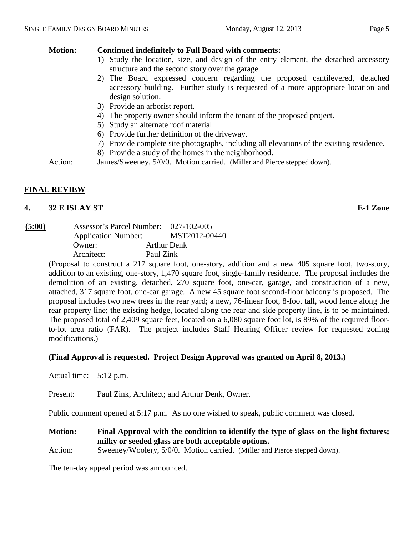# **Motion: Continued indefinitely to Full Board with comments:**

- 1) Study the location, size, and design of the entry element, the detached accessory structure and the second story over the garage.
- 2) The Board expressed concern regarding the proposed cantilevered, detached accessory building. Further study is requested of a more appropriate location and design solution.
- 3) Provide an arborist report.
- 4) The property owner should inform the tenant of the proposed project.
- 5) Study an alternate roof material.
- 6) Provide further definition of the driveway.
- 7) Provide complete site photographs, including all elevations of the existing residence.
- 8) Provide a study of the homes in the neighborhood.

Action: James/Sweeney, 5/0/0. Motion carried. (Miller and Pierce stepped down).

# **FINAL REVIEW**

## **4. 32 E ISLAY ST E-1 Zone**

| (5:00) | Assessor's Parcel Number:  | 027-102-005        |
|--------|----------------------------|--------------------|
|        | <b>Application Number:</b> | MST2012-00440      |
|        | Owner:                     | <b>Arthur Denk</b> |
|        | Architect:                 | Paul Zink          |

(Proposal to construct a 217 square foot, one-story, addition and a new 405 square foot, two-story, addition to an existing, one-story, 1,470 square foot, single-family residence. The proposal includes the demolition of an existing, detached, 270 square foot, one-car, garage, and construction of a new, attached, 317 square foot, one-car garage. A new 45 square foot second-floor balcony is proposed. The proposal includes two new trees in the rear yard; a new, 76-linear foot, 8-foot tall, wood fence along the rear property line; the existing hedge, located along the rear and side property line, is to be maintained. The proposed total of 2,409 square feet, located on a 6,080 square foot lot, is 89% of the required floorto-lot area ratio (FAR). The project includes Staff Hearing Officer review for requested zoning modifications.)

# **(Final Approval is requested. Project Design Approval was granted on April 8, 2013.)**

Actual time: 5:12 p.m.

Present: Paul Zink, Architect; and Arthur Denk, Owner.

Public comment opened at 5:17 p.m. As no one wished to speak, public comment was closed.

**Motion: Final Approval with the condition to identify the type of glass on the light fixtures; milky or seeded glass are both acceptable options.**

Action: Sweeney/Woolery, 5/0/0. Motion carried. (Miller and Pierce stepped down).

The ten-day appeal period was announced.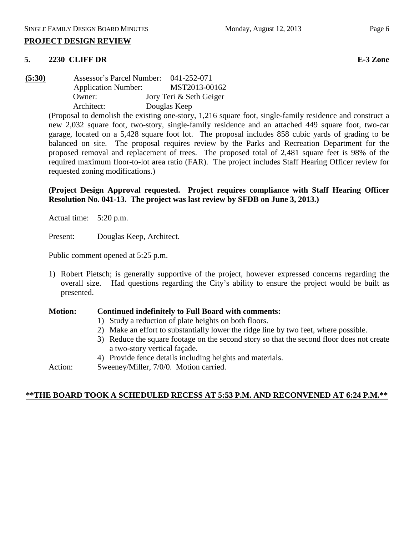#### **5. 2230 CLIFF DR E-3 Zone**

**(5:30)** Assessor's Parcel Number: 041-252-071 Application Number: MST2013-00162 Owner: Jory Teri & Seth Geiger Architect: Douglas Keep

> (Proposal to demolish the existing one-story, 1,216 square foot, single-family residence and construct a new 2,032 square foot, two-story, single-family residence and an attached 449 square foot, two-car garage, located on a 5,428 square foot lot. The proposal includes 858 cubic yards of grading to be balanced on site. The proposal requires review by the Parks and Recreation Department for the proposed removal and replacement of trees. The proposed total of 2,481 square feet is 98% of the required maximum floor-to-lot area ratio (FAR). The project includes Staff Hearing Officer review for requested zoning modifications.)

> **(Project Design Approval requested. Project requires compliance with Staff Hearing Officer Resolution No. 041-13. The project was last review by SFDB on June 3, 2013.)**

Actual time: 5:20 p.m.

Present: Douglas Keep, Architect.

Public comment opened at 5:25 p.m.

1) Robert Pietsch; is generally supportive of the project, however expressed concerns regarding the overall size. Had questions regarding the City's ability to ensure the project would be built as presented.

#### **Motion: Continued indefinitely to Full Board with comments:**

- 1) Study a reduction of plate heights on both floors.
- 2) Make an effort to substantially lower the ridge line by two feet, where possible.
- 3) Reduce the square footage on the second story so that the second floor does not create a two-story vertical façade.
- 4) Provide fence details including heights and materials.
- Action: Sweeney/Miller, 7/0/0. Motion carried.

# **\*\*THE BOARD TOOK A SCHEDULED RECESS AT 5:53 P.M. AND RECONVENED AT 6:24 P.M.\*\***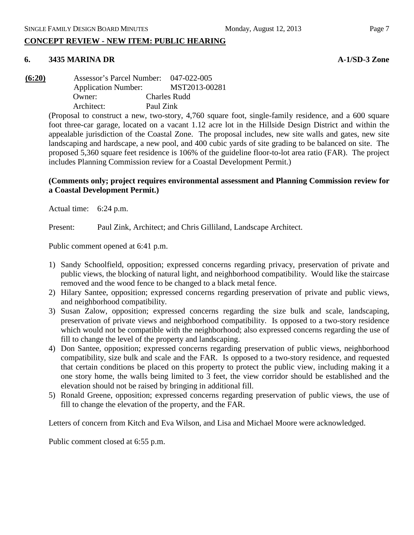# **CONCEPT REVIEW - NEW ITEM: PUBLIC HEARING**

#### **6. 3435 MARINA DR A-1/SD-3 Zone**

**(6:20)** Assessor's Parcel Number: 047-022-005 Application Number: MST2013-00281 Owner: Charles Rudd Architect: Paul Zink

> (Proposal to construct a new, two-story, 4,760 square foot, single-family residence, and a 600 square foot three-car garage, located on a vacant 1.12 acre lot in the Hillside Design District and within the appealable jurisdiction of the Coastal Zone. The proposal includes, new site walls and gates, new site landscaping and hardscape, a new pool, and 400 cubic yards of site grading to be balanced on site. The proposed 5,360 square feet residence is 106% of the guideline floor-to-lot area ratio (FAR). The project includes Planning Commission review for a Coastal Development Permit.)

#### **(Comments only; project requires environmental assessment and Planning Commission review for a Coastal Development Permit.)**

Actual time: 6:24 p.m.

Present: Paul Zink, Architect; and Chris Gilliland, Landscape Architect.

Public comment opened at 6:41 p.m.

- 1) Sandy Schoolfield, opposition; expressed concerns regarding privacy, preservation of private and public views, the blocking of natural light, and neighborhood compatibility. Would like the staircase removed and the wood fence to be changed to a black metal fence.
- 2) Hilary Santee, opposition; expressed concerns regarding preservation of private and public views, and neighborhood compatibility.
- 3) Susan Zalow, opposition; expressed concerns regarding the size bulk and scale, landscaping, preservation of private views and neighborhood compatibility. Is opposed to a two-story residence which would not be compatible with the neighborhood; also expressed concerns regarding the use of fill to change the level of the property and landscaping.
- 4) Don Santee, opposition; expressed concerns regarding preservation of public views, neighborhood compatibility, size bulk and scale and the FAR. Is opposed to a two-story residence, and requested that certain conditions be placed on this property to protect the public view, including making it a one story home, the walls being limited to 3 feet, the view corridor should be established and the elevation should not be raised by bringing in additional fill.
- 5) Ronald Greene, opposition; expressed concerns regarding preservation of public views, the use of fill to change the elevation of the property, and the FAR.

Letters of concern from Kitch and Eva Wilson, and Lisa and Michael Moore were acknowledged.

Public comment closed at 6:55 p.m.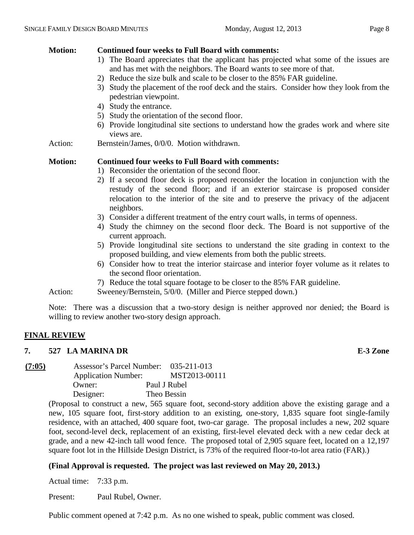# **Motion: Continued four weeks to Full Board with comments:**

- 1) The Board appreciates that the applicant has projected what some of the issues are and has met with the neighbors. The Board wants to see more of that.
- 2) Reduce the size bulk and scale to be closer to the 85% FAR guideline.
- 3) Study the placement of the roof deck and the stairs. Consider how they look from the pedestrian viewpoint.
- 4) Study the entrance.
- 5) Study the orientation of the second floor.
- 6) Provide longitudinal site sections to understand how the grades work and where site views are.
- Action: Bernstein/James, 0/0/0. Motion withdrawn.

## **Motion: Continued four weeks to Full Board with comments:**

- 1) Reconsider the orientation of the second floor.
- 2) If a second floor deck is proposed reconsider the location in conjunction with the restudy of the second floor; and if an exterior staircase is proposed consider relocation to the interior of the site and to preserve the privacy of the adjacent neighbors.
- 3) Consider a different treatment of the entry court walls, in terms of openness.
- 4) Study the chimney on the second floor deck. The Board is not supportive of the current approach.
- 5) Provide longitudinal site sections to understand the site grading in context to the proposed building, and view elements from both the public streets.
- 6) Consider how to treat the interior staircase and interior foyer volume as it relates to the second floor orientation.
- 7) Reduce the total square footage to be closer to the 85% FAR guideline.

Action: Sweeney/Bernstein, 5/0/0. (Miller and Pierce stepped down.)

Note: There was a discussion that a two-story design is neither approved nor denied; the Board is willing to review another two-story design approach.

#### **FINAL REVIEW**

#### **7. 527 LA MARINA DR E-3 Zone**

**(7:05)** Assessor's Parcel Number: 035-211-013 Application Number: MST2013-00111 Owner: Paul J Rubel Designer: Theo Bessin

(Proposal to construct a new, 565 square foot, second-story addition above the existing garage and a new, 105 square foot, first-story addition to an existing, one-story, 1,835 square foot single-family residence, with an attached, 400 square foot, two-car garage. The proposal includes a new, 202 square foot, second-level deck, replacement of an existing, first-level elevated deck with a new cedar deck at grade, and a new 42-inch tall wood fence. The proposed total of 2,905 square feet, located on a 12,197 square foot lot in the Hillside Design District, is 73% of the required floor-to-lot area ratio (FAR).)

# **(Final Approval is requested. The project was last reviewed on May 20, 2013.)**

Actual time: 7:33 p.m.

Present: Paul Rubel, Owner.

Public comment opened at 7:42 p.m. As no one wished to speak, public comment was closed.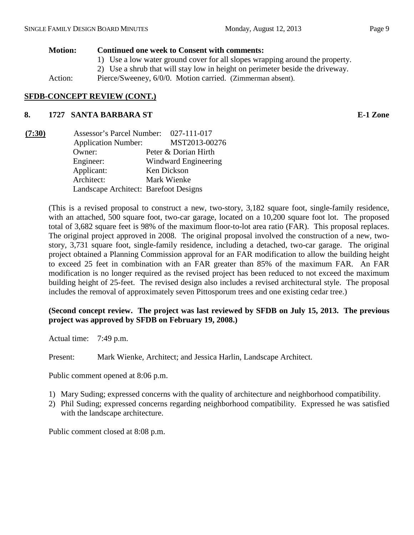# **Motion: Continued one week to Consent with comments:**

- 1) Use a low water ground cover for all slopes wrapping around the property.
- 2) Use a shrub that will stay low in height on perimeter beside the driveway.

Action: Pierce/Sweeney, 6/0/0. Motion carried. (Zimmerman absent).

# **SFDB-CONCEPT REVIEW (CONT.)**

# **8. 1727 SANTA BARBARA ST E-1 Zone**

| (7:30) | Assessor's Parcel Number: 027-111-017 |                      |
|--------|---------------------------------------|----------------------|
|        | <b>Application Number:</b>            | MST2013-00276        |
|        | Owner:                                | Peter & Dorian Hirth |
|        | Engineer:                             | Windward Engineering |
|        | Applicant:                            | Ken Dickson          |
|        | Architect:                            | Mark Wienke          |
|        | Landscape Architect: Barefoot Designs |                      |

(This is a revised proposal to construct a new, two-story, 3,182 square foot, single-family residence, with an attached, 500 square foot, two-car garage, located on a 10,200 square foot lot. The proposed total of 3,682 square feet is 98% of the maximum floor-to-lot area ratio (FAR). This proposal replaces. The original project approved in 2008. The original proposal involved the construction of a new, twostory, 3,731 square foot, single-family residence, including a detached, two-car garage. The original project obtained a Planning Commission approval for an FAR modification to allow the building height to exceed 25 feet in combination with an FAR greater than 85% of the maximum FAR. An FAR modification is no longer required as the revised project has been reduced to not exceed the maximum building height of 25-feet. The revised design also includes a revised architectural style. The proposal includes the removal of approximately seven Pittosporum trees and one existing cedar tree.)

# **(Second concept review. The project was last reviewed by SFDB on July 15, 2013. The previous project was approved by SFDB on February 19, 2008.)**

Actual time: 7:49 p.m.

Present: Mark Wienke, Architect; and Jessica Harlin, Landscape Architect.

Public comment opened at 8:06 p.m.

- 1) Mary Suding; expressed concerns with the quality of architecture and neighborhood compatibility.
- 2) Phil Suding; expressed concerns regarding neighborhood compatibility. Expressed he was satisfied with the landscape architecture.

Public comment closed at 8:08 p.m.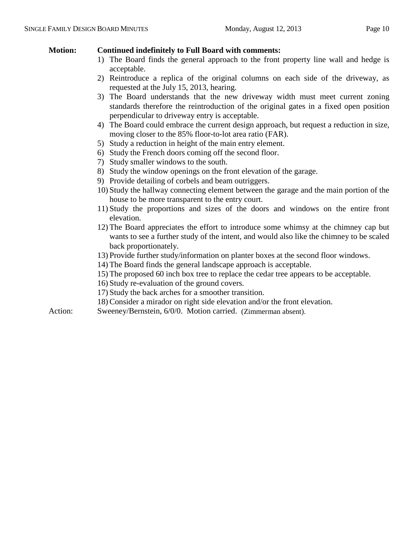# **Motion: Continued indefinitely to Full Board with comments:**

- 1) The Board finds the general approach to the front property line wall and hedge is acceptable.
- 2) Reintroduce a replica of the original columns on each side of the driveway, as requested at the July 15, 2013, hearing.
- 3) The Board understands that the new driveway width must meet current zoning standards therefore the reintroduction of the original gates in a fixed open position perpendicular to driveway entry is acceptable.
- 4) The Board could embrace the current design approach, but request a reduction in size, moving closer to the 85% floor-to-lot area ratio (FAR).
- 5) Study a reduction in height of the main entry element.
- 6) Study the French doors coming off the second floor.
- 7) Study smaller windows to the south.
- 8) Study the window openings on the front elevation of the garage.
- 9) Provide detailing of corbels and beam outriggers.
- 10) Study the hallway connecting element between the garage and the main portion of the house to be more transparent to the entry court.
- 11) Study the proportions and sizes of the doors and windows on the entire front elevation.
- 12) The Board appreciates the effort to introduce some whimsy at the chimney cap but wants to see a further study of the intent, and would also like the chimney to be scaled back proportionately.
- 13) Provide further study/information on planter boxes at the second floor windows.
- 14) The Board finds the general landscape approach is acceptable.
- 15) The proposed 60 inch box tree to replace the cedar tree appears to be acceptable.
- 16) Study re-evaluation of the ground covers.
- 17) Study the back arches for a smoother transition.
- 18) Consider a mirador on right side elevation and/or the front elevation.
- Action: Sweeney/Bernstein, 6/0/0. Motion carried. (Zimmerman absent).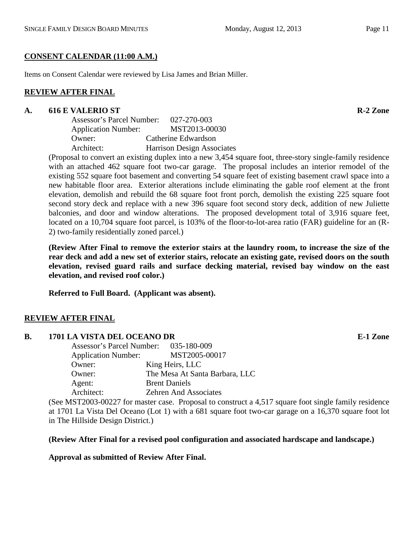# **CONSENT CALENDAR (11:00 A.M.)**

Items on Consent Calendar were reviewed by Lisa James and Brian Miller.

# **REVIEW AFTER FINAL**

# **A. 616 E VALERIO ST R-2 Zone**

| Assessor's Parcel Number:  | 027-270-003                |
|----------------------------|----------------------------|
| <b>Application Number:</b> | MST2013-00030              |
| Owner:                     | Catherine Edwardson        |
| Architect:                 | Harrison Design Associates |

(Proposal to convert an existing duplex into a new 3,454 square foot, three-story single-family residence with an attached 462 square foot two-car garage. The proposal includes an interior remodel of the existing 552 square foot basement and converting 54 square feet of existing basement crawl space into a new habitable floor area. Exterior alterations include eliminating the gable roof element at the front elevation, demolish and rebuild the 68 square foot front porch, demolish the existing 225 square foot second story deck and replace with a new 396 square foot second story deck, addition of new Juliette balconies, and door and window alterations. The proposed development total of 3,916 square feet, located on a 10,704 square foot parcel, is 103% of the floor-to-lot-area ratio (FAR) guideline for an (R-2) two-family residentially zoned parcel.)

**(Review After Final to remove the exterior stairs at the laundry room, to increase the size of the rear deck and add a new set of exterior stairs, relocate an existing gate, revised doors on the south elevation, revised guard rails and surface decking material, revised bay window on the east elevation, and revised roof color.)**

**Referred to Full Board. (Applicant was absent).**

# **REVIEW AFTER FINAL**

# **B. 1701 LA VISTA DEL OCEANO DR E-1 Zone**

| Assessor's Parcel Number: 035-180-009 |                                |
|---------------------------------------|--------------------------------|
| <b>Application Number:</b>            | MST2005-00017                  |
| Owner:                                | King Heirs, LLC                |
| Owner:                                | The Mesa At Santa Barbara, LLC |
| Agent:                                | <b>Brent Daniels</b>           |
| Architect:                            | <b>Zehren And Associates</b>   |
|                                       |                                |

(See MST2003-00227 for master case. Proposal to construct a 4,517 square foot single family residence at 1701 La Vista Del Oceano (Lot 1) with a 681 square foot two-car garage on a 16,370 square foot lot in The Hillside Design District.)

# **(Review After Final for a revised pool configuration and associated hardscape and landscape.)**

# **Approval as submitted of Review After Final.**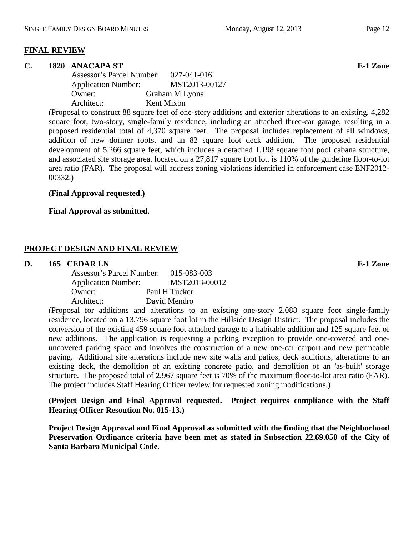#### **FINAL REVIEW**

#### **C. 1820 ANACAPA ST E-1 Zone**

| Assessor's Parcel Number:  | 027-041-016           |
|----------------------------|-----------------------|
| <b>Application Number:</b> | MST2013-00127         |
| Owner:                     | <b>Graham M Lyons</b> |
| Architect:                 | Kent Mixon            |

(Proposal to construct 88 square feet of one-story additions and exterior alterations to an existing, 4,282 square foot, two-story, single-family residence, including an attached three-car garage, resulting in a proposed residential total of 4,370 square feet. The proposal includes replacement of all windows, addition of new dormer roofs, and an 82 square foot deck addition. The proposed residential development of 5,266 square feet, which includes a detached 1,198 square foot pool cabana structure, and associated site storage area, located on a 27,817 square foot lot, is 110% of the guideline floor-to-lot area ratio (FAR). The proposal will address zoning violations identified in enforcement case ENF2012- 00332.)

#### **(Final Approval requested.)**

#### **Final Approval as submitted.**

#### **PROJECT DESIGN AND FINAL REVIEW**

#### **D. 165 CEDAR LN E-1 Zone**

| Assessor's Parcel Number:  | 015-083-003   |
|----------------------------|---------------|
| <b>Application Number:</b> | MST2013-00012 |
| Owner:                     | Paul H Tucker |
| Architect:                 | David Mendro  |

(Proposal for additions and alterations to an existing one-story 2,088 square foot single-family residence, located on a 13,796 square foot lot in the Hillside Design District. The proposal includes the conversion of the existing 459 square foot attached garage to a habitable addition and 125 square feet of new additions. The application is requesting a parking exception to provide one-covered and oneuncovered parking space and involves the construction of a new one-car carport and new permeable paving. Additional site alterations include new site walls and patios, deck additions, alterations to an existing deck, the demolition of an existing concrete patio, and demolition of an 'as-built' storage structure. The proposed total of 2,967 square feet is 70% of the maximum floor-to-lot area ratio (FAR). The project includes Staff Hearing Officer review for requested zoning modifications.)

**(Project Design and Final Approval requested. Project requires compliance with the Staff Hearing Officer Resoution No. 015-13.)**

**Project Design Approval and Final Approval as submitted with the finding that the Neighborhood Preservation Ordinance criteria have been met as stated in Subsection 22.69.050 of the City of Santa Barbara Municipal Code.**